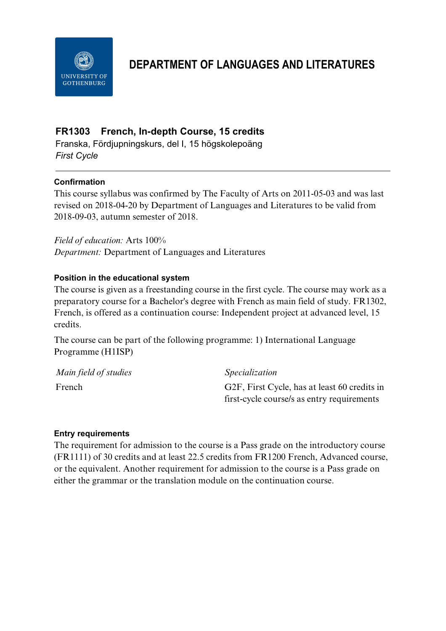

# **DEPARTMENT OF LANGUAGES AND LITERATURES**

# **FR1303 French, In-depth Course, 15 credits**

Franska, Fördjupningskurs, del I, 15 högskolepoäng *First Cycle*

#### **Confirmation**

This course syllabus was confirmed by The Faculty of Arts on 2011-05-03 and was last revised on 2018-04-20 by Department of Languages and Literatures to be valid from 2018-09-03, autumn semester of 2018.

*Field of education:* Arts 100% *Department:* Department of Languages and Literatures

#### **Position in the educational system**

The course is given as a freestanding course in the first cycle. The course may work as a preparatory course for a Bachelor's degree with French as main field of study. FR1302, French, is offered as a continuation course: Independent project at advanced level, 15 credits.

The course can be part of the following programme: 1) International Language Programme (H1ISP)

| Main field of studies | <i>Specialization</i>                        |
|-----------------------|----------------------------------------------|
| French                | G2F, First Cycle, has at least 60 credits in |
|                       | first-cycle course/s as entry requirements   |

#### **Entry requirements**

The requirement for admission to the course is a Pass grade on the introductory course (FR1111) of 30 credits and at least 22.5 credits from FR1200 French, Advanced course, or the equivalent. Another requirement for admission to the course is a Pass grade on either the grammar or the translation module on the continuation course.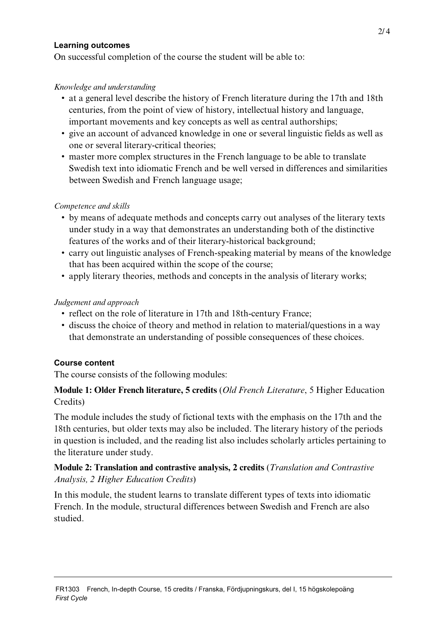#### **Learning outcomes**

On successful completion of the course the student will be able to:

#### *Knowledge and understanding*

- at a general level describe the history of French literature during the 17th and 18th centuries, from the point of view of history, intellectual history and language, important movements and key concepts as well as central authorships;
- give an account of advanced knowledge in one or several linguistic fields as well as one or several literary-critical theories;
- master more complex structures in the French language to be able to translate Swedish text into idiomatic French and be well versed in differences and similarities between Swedish and French language usage;

#### *Competence and skills*

- by means of adequate methods and concepts carry out analyses of the literary texts under study in a way that demonstrates an understanding both of the distinctive features of the works and of their literary-historical background;
- carry out linguistic analyses of French-speaking material by means of the knowledge that has been acquired within the scope of the course;
- apply literary theories, methods and concepts in the analysis of literary works;

## *Judgement and approach*

- reflect on the role of literature in 17th and 18th-century France;
- discuss the choice of theory and method in relation to material/questions in a way that demonstrate an understanding of possible consequences of these choices.

## **Course content**

The course consists of the following modules:

## **Module 1: Older French literature, 5 credits** (*Old French Literature*, 5 Higher Education Credits)

The module includes the study of fictional texts with the emphasis on the 17th and the 18th centuries, but older texts may also be included. The literary history of the periods in question is included, and the reading list also includes scholarly articles pertaining to the literature under study.

# **Module 2: Translation and contrastive analysis, 2 credits** (*Translation and Contrastive Analysis, 2 Higher Education Credits*)

In this module, the student learns to translate different types of texts into idiomatic French. In the module, structural differences between Swedish and French are also studied.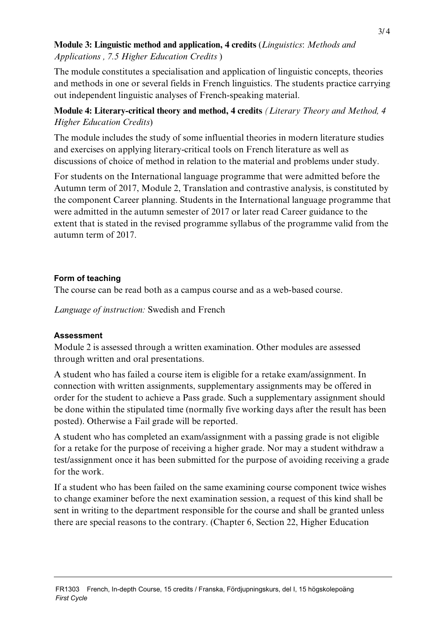# **Module 3: Linguistic method and application, 4 credits** (*Linguistics*: *Methods and Applications , 7.5 Higher Education Credits* )

The module constitutes a specialisation and application of linguistic concepts, theories and methods in one or several fields in French linguistics. The students practice carrying out independent linguistic analyses of French-speaking material.

# **Module 4: Literary-critical theory and method, 4 credits** *(Literary Theory and Method, 4 Higher Education Credits*)

The module includes the study of some influential theories in modern literature studies and exercises on applying literary-critical tools on French literature as well as discussions of choice of method in relation to the material and problems under study.

For students on the International language programme that were admitted before the Autumn term of 2017, Module 2, Translation and contrastive analysis, is constituted by the component Career planning. Students in the International language programme that were admitted in the autumn semester of 2017 or later read Career guidance to the extent that is stated in the revised programme syllabus of the programme valid from the autumn term of 2017.

## **Form of teaching**

The course can be read both as a campus course and as a web-based course.

*Language of instruction:* Swedish and French

# **Assessment**

Module 2 is assessed through a written examination. Other modules are assessed through written and oral presentations.

A student who has failed a course item is eligible for a retake exam/assignment. In connection with written assignments, supplementary assignments may be offered in order for the student to achieve a Pass grade. Such a supplementary assignment should be done within the stipulated time (normally five working days after the result has been posted). Otherwise a Fail grade will be reported.

A student who has completed an exam/assignment with a passing grade is not eligible for a retake for the purpose of receiving a higher grade. Nor may a student withdraw a test/assignment once it has been submitted for the purpose of avoiding receiving a grade for the work.

If a student who has been failed on the same examining course component twice wishes to change examiner before the next examination session, a request of this kind shall be sent in writing to the department responsible for the course and shall be granted unless there are special reasons to the contrary. (Chapter 6, Section 22, Higher Education